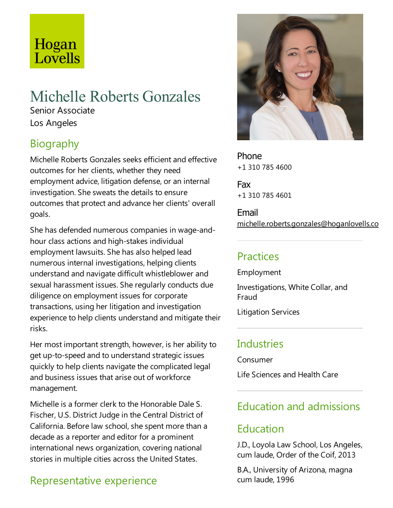# Hogan Lovells

# Michelle Roberts Gonzales

Senior Associate Los Angeles

## **Biography**

Michelle Roberts Gonzales seeks efficient and effective outcomes for her clients, whether they need employment advice, litigation defense, or an internal investigation. She sweats the details to ensure outcomes that protect and advance her clients' overall goals.

She has defended numerous companies in wage-andhour class actions and high-stakes individual employment lawsuits. She has also helped lead numerous internal investigations, helping clients understand and navigate difficult whistleblower and sexual harassment issues. Sheregularly conducts due diligence on employment issues for corporate transactions, using her litigation and investigation experience to help clients understand and mitigate their risks.

Her most important strength, however, is her ability to get up-to-speed and to understand strategic issues quickly to help clients navigate the complicated legal and business issues that arise out of workforce management.

Michelle is a former clerk to the Honorable Dale S. Fischer, U.S. District Judge in the Central District of California. Before law school, she spent more than a decade as a reporter and editor for a prominent international news organization, covering national stories in multiple cities across the United States.

## Representative experience



Phone +1 310 785 4600

Fax +1 310 785 4601

Email michelle.roberts.gonzales@hoganlovells.com

#### **Practices**

Employment

Investigations, White Collar, and Fraud

Litigation Services

### **Industries**

Consumer

Life Sciences and Health Care

### Education and admissions

## Education

J.D., Loyola Law School, Los Angeles, cum laude, Order of the Coif, 2013

B.A., University of Arizona, magna cum laude, 1996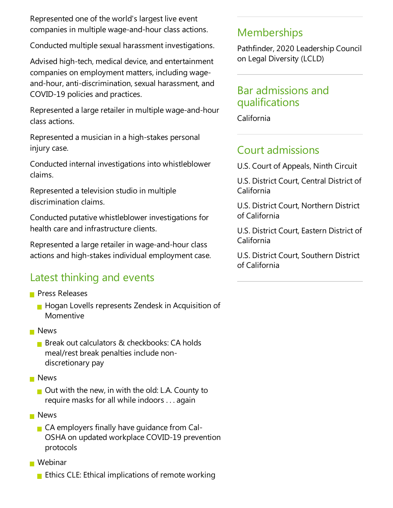Represented one of the world's largest live event companies in multiple wage-and-hour class actions.

Conducted multiple sexual harassment investigations.

Advised high-tech, medical device, and entertainment companies on employment matters, including wageand-hour, anti-discrimination, sexual harassment, and COVID-19 policies and practices.

Represented a large retailer in multiple wage-and-hour class actions.

Represented a musician in a high-stakes personal injury case.

Conducted internal investigations into whistleblower claims.

Represented a television studio in multiple discrimination claims.

Conducted putative whistleblower investigations for health care and infrastructure clients.

Represented a large retailer in wage-and-hour class actions and high-stakes individual employment case.

### Latest thinking and events

- **Press Releases** 
	- **Hogan Lovells represents Zendesk in Acquisition of** Momentive
- **News** 
	- **Break out calculators & checkbooks: CA holds** meal/rest break penalties include nondiscretionary pay
- **News** 
	- $\blacksquare$  Out with the new, in with the old: L.A. County to require masks for all while indoors . . . again
- **News** 
	- $\blacksquare$  CA employers finally have quidance from Cal-OSHA on updated workplace COVID-19 prevention protocols

■ Webinar

**E** Ethics CLE: Ethical implications of remote working

#### Memberships

Pathfinder, 2020 Leadership Council on Legal Diversity (LCLD)

#### Bar admissions and qualifications

California

#### Court admissions

U.S. Court of Appeals, Ninth Circuit

U.S. District Court, Central District of California

U.S. District Court, Northern District of California

U.S. District Court, Eastern District of California

U.S. District Court, Southern District of California